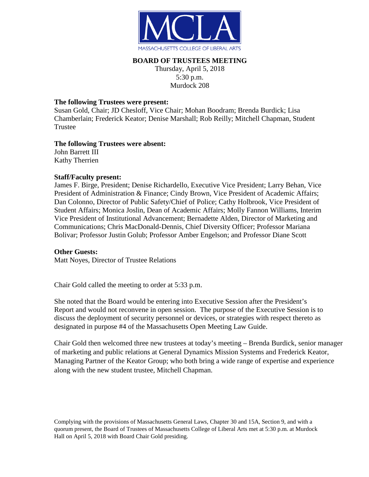

# **BOARD OF TRUSTEES MEETING**

Thursday, April 5, 2018 5:30 p.m. Murdock 208

## **The following Trustees were present:**

Susan Gold, Chair; JD Chesloff, Vice Chair; Mohan Boodram; Brenda Burdick; Lisa Chamberlain; Frederick Keator; Denise Marshall; Rob Reilly; Mitchell Chapman, Student Trustee

## **The following Trustees were absent:**

John Barrett III Kathy Therrien

## **Staff/Faculty present:**

James F. Birge, President; Denise Richardello, Executive Vice President; Larry Behan, Vice President of Administration & Finance; Cindy Brown, Vice President of Academic Affairs; Dan Colonno, Director of Public Safety/Chief of Police; Cathy Holbrook, Vice President of Student Affairs; Monica Joslin, Dean of Academic Affairs; Molly Fannon Williams, Interim Vice President of Institutional Advancement; Bernadette Alden, Director of Marketing and Communications; Chris MacDonald-Dennis, Chief Diversity Officer; Professor Mariana Bolivar; Professor Justin Golub; Professor Amber Engelson; and Professor Diane Scott

#### **Other Guests:**

Matt Noyes, Director of Trustee Relations

Chair Gold called the meeting to order at 5:33 p.m.

She noted that the Board would be entering into Executive Session after the President's Report and would not reconvene in open session. The purpose of the Executive Session is to discuss the deployment of security personnel or devices, or strategies with respect thereto as designated in purpose #4 of the Massachusetts Open Meeting Law Guide.

Chair Gold then welcomed three new trustees at today's meeting – Brenda Burdick, senior manager of marketing and public relations at General Dynamics Mission Systems and Frederick Keator, Managing Partner of the Keator Group; who both bring a wide range of expertise and experience along with the new student trustee, Mitchell Chapman.

Complying with the provisions of Massachusetts General Laws, Chapter 30 and 15A, Section 9, and with a quorum present, the Board of Trustees of Massachusetts College of Liberal Arts met at 5:30 p.m. at Murdock Hall on April 5, 2018 with Board Chair Gold presiding.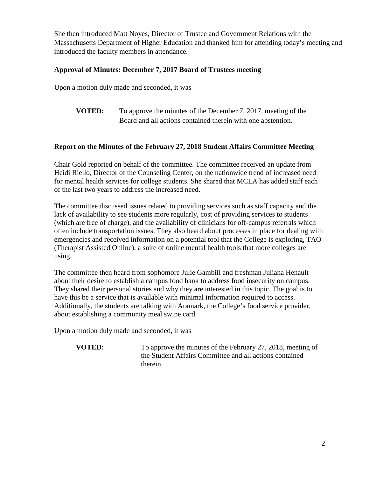She then introduced Matt Noyes, Director of Trustee and Government Relations with the Massachusetts Department of Higher Education and thanked him for attending today's meeting and introduced the faculty members in attendance.

# **Approval of Minutes: December 7, 2017 Board of Trustees meeting**

Upon a motion duly made and seconded, it was

**VOTED:** To approve the minutes of the December 7, 2017, meeting of the Board and all actions contained therein with one abstention.

# **Report on the Minutes of the February 27, 2018 Student Affairs Committee Meeting**

Chair Gold reported on behalf of the committee. The committee received an update from Heidi Riello, Director of the Counseling Center, on the nationwide trend of increased need for mental health services for college students. She shared that MCLA has added staff each of the last two years to address the increased need.

The committee discussed issues related to providing services such as staff capacity and the lack of availability to see students more regularly, cost of providing services to students (which are free of charge), and the availability of clinicians for off-campus referrals which often include transportation issues. They also heard about processes in place for dealing with emergencies and received information on a potential tool that the College is exploring, TAO (Therapist Assisted Online), a suite of online mental health tools that more colleges are using.

The committee then heard from sophomore Julie Gambill and freshman Juliana Henault about their desire to establish a campus food bank to address food insecurity on campus. They shared their personal stories and why they are interested in this topic. The goal is to have this be a service that is available with minimal information required to access. Additionally, the students are talking with Aramark, the College's food service provider, about establishing a community meal swipe card.

Upon a motion duly made and seconded, it was

**VOTED:** To approve the minutes of the February 27, 2018, meeting of the Student Affairs Committee and all actions contained therein.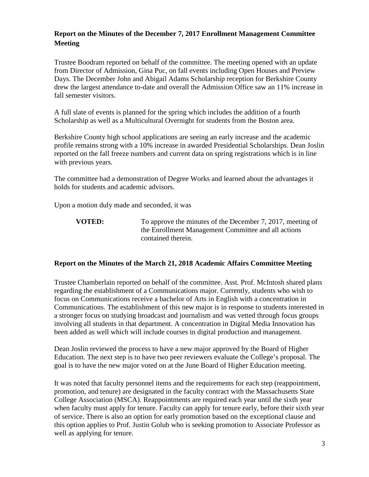# **Report on the Minutes of the December 7, 2017 Enrollment Management Committee Meeting**

Trustee Boodram reported on behalf of the committee. The meeting opened with an update from Director of Admission, Gina Puc, on fall events including Open Houses and Preview Days. The December John and Abigail Adams Scholarship reception for Berkshire County drew the largest attendance to-date and overall the Admission Office saw an 11% increase in fall semester visitors.

A full slate of events is planned for the spring which includes the addition of a fourth Scholarship as well as a Multicultural Overnight for students from the Boston area.

Berkshire County high school applications are seeing an early increase and the academic profile remains strong with a 10% increase in awarded Presidential Scholarships. Dean Joslin reported on the fall freeze numbers and current data on spring registrations which is in line with previous years.

The committee had a demonstration of Degree Works and learned about the advantages it holds for students and academic advisors.

Upon a motion duly made and seconded, it was

**VOTED:** To approve the minutes of the December 7, 2017, meeting of the Enrollment Management Committee and all actions contained therein.

#### **Report on the Minutes of the March 21, 2018 Academic Affairs Committee Meeting**

Trustee Chamberlain reported on behalf of the committee. Asst. Prof. McIntosh shared plans regarding the establishment of a Communications major. Currently, students who wish to focus on Communications receive a bachelor of Arts in English with a concentration in Communications. The establishment of this new major is in response to students interested in a stronger focus on studying broadcast and journalism and was vetted through focus groups involving all students in that department. A concentration in Digital Media Innovation has been added as well which will include courses in digital production and management.

Dean Joslin reviewed the process to have a new major approved by the Board of Higher Education. The next step is to have two peer reviewers evaluate the College's proposal. The goal is to have the new major voted on at the June Board of Higher Education meeting.

It was noted that faculty personnel items and the requirements for each step (reappointment, promotion, and tenure) are designated in the faculty contract with the Massachusetts State College Association (MSCA). Reappointments are required each year until the sixth year when faculty must apply for tenure. Faculty can apply for tenure early, before their sixth year of service. There is also an option for early promotion based on the exceptional clause and this option applies to Prof. Justin Golub who is seeking promotion to Associate Professor as well as applying for tenure.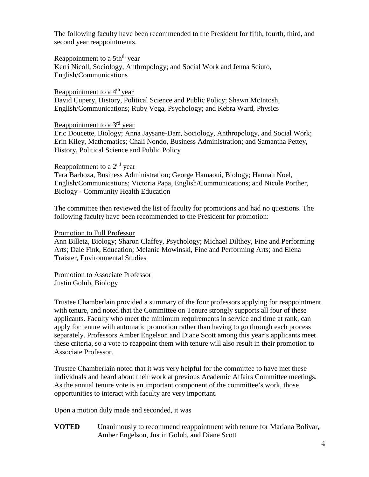The following faculty have been recommended to the President for fifth, fourth, third, and second year reappointments.

Reappointment to a 5th<sup>th</sup> year Kerri Nicoll, Sociology, Anthropology; and Social Work and Jenna Sciuto, English/Communications

Reappointment to a  $4<sup>th</sup>$  year

David Cupery, History, Political Science and Public Policy; Shawn McIntosh, English/Communications; Ruby Vega, Psychology; and Kebra Ward, Physics

## Reappointment to a 3<sup>rd</sup> year

Eric Doucette, Biology; Anna Jaysane-Darr, Sociology, Anthropology, and Social Work; Erin Kiley, Mathematics; Chali Nondo, Business Administration; and Samantha Pettey, History, Political Science and Public Policy

## Reappointment to a  $2<sup>nd</sup>$  year

Tara Barboza, Business Administration; George Hamaoui, Biology; Hannah Noel, English/Communications; Victoria Papa, English/Communications; and Nicole Porther, Biology - Community Health Education

The committee then reviewed the list of faculty for promotions and had no questions. The following faculty have been recommended to the President for promotion:

#### Promotion to Full Professor

Ann Billetz, Biology; Sharon Claffey, Psychology; Michael Dilthey, Fine and Performing Arts; Dale Fink, Education; Melanie Mowinski, Fine and Performing Arts; and Elena Traister, Environmental Studies

Promotion to Associate Professor Justin Golub, Biology

Trustee Chamberlain provided a summary of the four professors applying for reappointment with tenure, and noted that the Committee on Tenure strongly supports all four of these applicants. Faculty who meet the minimum requirements in service and time at rank, can apply for tenure with automatic promotion rather than having to go through each process separately. Professors Amber Engelson and Diane Scott among this year's applicants meet these criteria, so a vote to reappoint them with tenure will also result in their promotion to Associate Professor.

Trustee Chamberlain noted that it was very helpful for the committee to have met these individuals and heard about their work at previous Academic Affairs Committee meetings. As the annual tenure vote is an important component of the committee's work, those opportunities to interact with faculty are very important.

Upon a motion duly made and seconded, it was

**VOTED** Unanimously to recommend reappointment with tenure for Mariana Bolivar, Amber Engelson, Justin Golub, and Diane Scott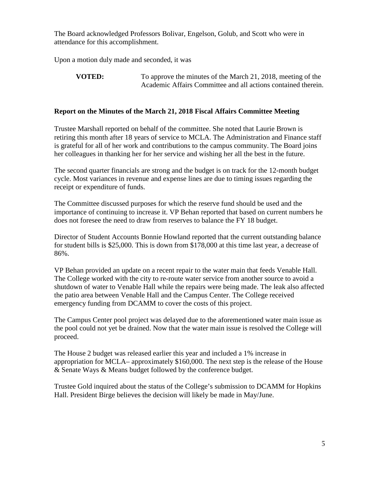The Board acknowledged Professors Bolivar, Engelson, Golub, and Scott who were in attendance for this accomplishment.

Upon a motion duly made and seconded, it was

## **Report on the Minutes of the March 21, 2018 Fiscal Affairs Committee Meeting**

Trustee Marshall reported on behalf of the committee. She noted that Laurie Brown is retiring this month after 18 years of service to MCLA. The Administration and Finance staff is grateful for all of her work and contributions to the campus community. The Board joins her colleagues in thanking her for her service and wishing her all the best in the future.

The second quarter financials are strong and the budget is on track for the 12-month budget cycle. Most variances in revenue and expense lines are due to timing issues regarding the receipt or expenditure of funds.

The Committee discussed purposes for which the reserve fund should be used and the importance of continuing to increase it. VP Behan reported that based on current numbers he does not foresee the need to draw from reserves to balance the FY 18 budget.

Director of Student Accounts Bonnie Howland reported that the current outstanding balance for student bills is \$25,000. This is down from \$178,000 at this time last year, a decrease of 86%.

VP Behan provided an update on a recent repair to the water main that feeds Venable Hall. The College worked with the city to re-route water service from another source to avoid a shutdown of water to Venable Hall while the repairs were being made. The leak also affected the patio area between Venable Hall and the Campus Center. The College received emergency funding from DCAMM to cover the costs of this project.

The Campus Center pool project was delayed due to the aforementioned water main issue as the pool could not yet be drained. Now that the water main issue is resolved the College will proceed.

The House 2 budget was released earlier this year and included a 1% increase in appropriation for MCLA– approximately \$160,000. The next step is the release of the House & Senate Ways & Means budget followed by the conference budget.

Trustee Gold inquired about the status of the College's submission to DCAMM for Hopkins Hall. President Birge believes the decision will likely be made in May/June.

**VOTED:** To approve the minutes of the March 21, 2018, meeting of the Academic Affairs Committee and all actions contained therein.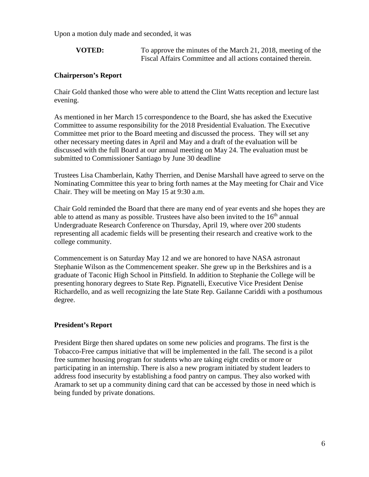Upon a motion duly made and seconded, it was

**VOTED:** To approve the minutes of the March 21, 2018, meeting of the Fiscal Affairs Committee and all actions contained therein.

#### **Chairperson's Report**

Chair Gold thanked those who were able to attend the Clint Watts reception and lecture last evening.

As mentioned in her March 15 correspondence to the Board, she has asked the Executive Committee to assume responsibility for the 2018 Presidential Evaluation. The Executive Committee met prior to the Board meeting and discussed the process. They will set any other necessary meeting dates in April and May and a draft of the evaluation will be discussed with the full Board at our annual meeting on May 24. The evaluation must be submitted to Commissioner Santiago by June 30 deadline

Trustees Lisa Chamberlain, Kathy Therrien, and Denise Marshall have agreed to serve on the Nominating Committee this year to bring forth names at the May meeting for Chair and Vice Chair. They will be meeting on May 15 at 9:30 a.m.

Chair Gold reminded the Board that there are many end of year events and she hopes they are able to attend as many as possible. Trustees have also been invited to the  $16<sup>th</sup>$  annual Undergraduate Research Conference on Thursday, April 19, where over 200 students representing all academic fields will be presenting their research and creative work to the college community.

Commencement is on Saturday May 12 and we are honored to have NASA astronaut Stephanie Wilson as the Commencement speaker. She grew up in the Berkshires and is a graduate of Taconic High School in Pittsfield. In addition to Stephanie the College will be presenting honorary degrees to State Rep. Pignatelli, Executive Vice President Denise Richardello, and as well recognizing the late State Rep. Gailanne Cariddi with a posthumous degree.

#### **President's Report**

President Birge then shared updates on some new policies and programs. The first is the Tobacco-Free campus initiative that will be implemented in the fall. The second is a pilot free summer housing program for students who are taking eight credits or more or participating in an internship. There is also a new program initiated by student leaders to address food insecurity by establishing a food pantry on campus. They also worked with Aramark to set up a community dining card that can be accessed by those in need which is being funded by private donations.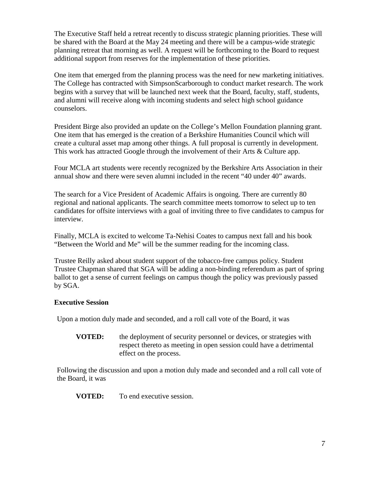The Executive Staff held a retreat recently to discuss strategic planning priorities. These will be shared with the Board at the May 24 meeting and there will be a campus-wide strategic planning retreat that morning as well. A request will be forthcoming to the Board to request additional support from reserves for the implementation of these priorities.

One item that emerged from the planning process was the need for new marketing initiatives. The College has contracted with SimpsonScarborough to conduct market research. The work begins with a survey that will be launched next week that the Board, faculty, staff, students, and alumni will receive along with incoming students and select high school guidance counselors.

President Birge also provided an update on the College's Mellon Foundation planning grant. One item that has emerged is the creation of a Berkshire Humanities Council which will create a cultural asset map among other things. A full proposal is currently in development. This work has attracted Google through the involvement of their Arts & Culture app.

Four MCLA art students were recently recognized by the Berkshire Arts Association in their annual show and there were seven alumni included in the recent "40 under 40" awards.

The search for a Vice President of Academic Affairs is ongoing. There are currently 80 regional and national applicants. The search committee meets tomorrow to select up to ten candidates for offsite interviews with a goal of inviting three to five candidates to campus for interview.

Finally, MCLA is excited to welcome Ta-Nehisi Coates to campus next fall and his book "Between the World and Me" will be the summer reading for the incoming class.

Trustee Reilly asked about student support of the tobacco-free campus policy. Student Trustee Chapman shared that SGA will be adding a non-binding referendum as part of spring ballot to get a sense of current feelings on campus though the policy was previously passed by SGA.

## **Executive Session**

Upon a motion duly made and seconded, and a roll call vote of the Board, it was

**VOTED:** the deployment of security personnel or devices, or strategies with respect thereto as meeting in open session could have a detrimental effect on the process.

Following the discussion and upon a motion duly made and seconded and a roll call vote of the Board, it was

**VOTED:** To end executive session.